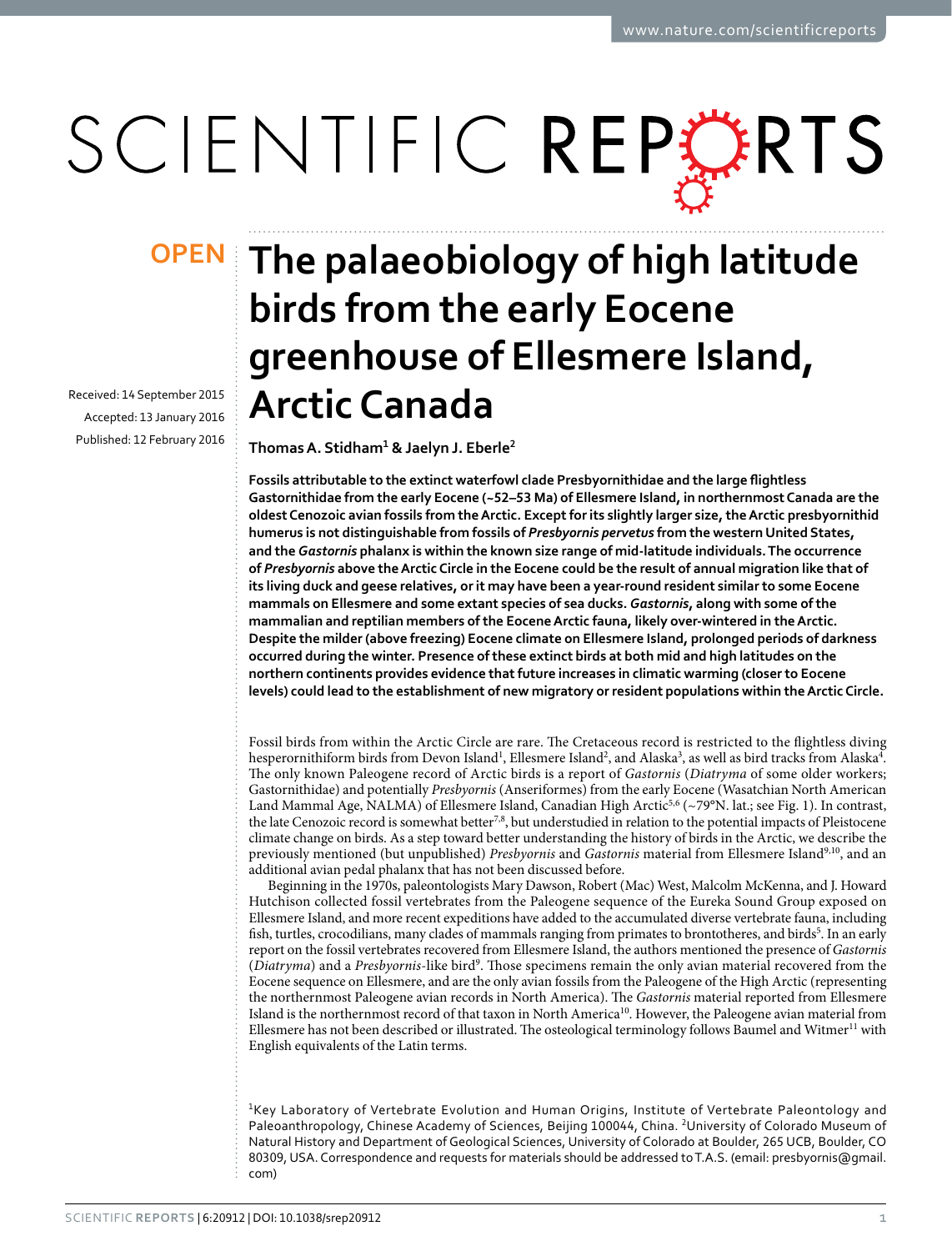# SCIENTIFIC REPERTS

Received: 14 September 2015 accepted: 13 January 2016 Published: 12 February 2016

## **The palaeobiology of high latitude OPENbirds from the early Eocene greenhouse of Ellesmere Island, Arctic Canada**

**ThomasA. Stidham<sup>1</sup> & Jaelyn J. Eberle<sup>2</sup>**

**Fossils attributable to the extinct waterfowl clade Presbyornithidae and the large flightless Gastornithidae from the early Eocene (~52–53 Ma) of Ellesmere Island, in northernmost Canada are the oldest Cenozoic avian fossils from the Arctic. Except for its slightly larger size, the Arctic presbyornithid humerus is not distinguishable from fossils of** *Presbyornis pervetus* **from the western United States, and the** *Gastornis* **phalanx is within the known size range of mid-latitude individuals. The occurrence of** *Presbyornis* **above the Arctic Circle in the Eocene could be the result of annual migration like that of its living duck and geese relatives, or it may have been a year-round resident similar to some Eocene mammals on Ellesmere and some extant species of sea ducks.** *Gastornis***, along with some of the mammalian and reptilian members of the Eocene Arctic fauna, likely over-wintered in the Arctic. Despite the milder (above freezing) Eocene climate on Ellesmere Island, prolonged periods of darkness occurred during the winter. Presence of these extinct birds at both mid and high latitudes on the northern continents provides evidence that future increases in climatic warming (closer to Eocene levels) could lead to the establishment of new migratory or resident populations within the Arctic Circle.**

Fossil birds from within the Arctic Circle are rare. The Cretaceous record is restricted to the flightless diving hesperornithiform birds from Devon Island<sup>1</sup>, Ellesmere Island<sup>2</sup>, and Alaska<sup>3</sup>, as well as bird tracks from Alaska<sup>4</sup>. The only known Paleogene record of Arctic birds is a report of *Gastornis* (*Diatryma* of some older workers; Gastornithidae) and potentially *Presbyornis* (Anseriformes) from the early Eocene (Wasatchian North American Land Mammal Age, NALMA) of Ellesmere Island, Canadian High Arctic<sup>5,6</sup> (~79°N. lat.; see Fig. 1). In contrast, the late Cenozoic record is somewhat better<sup>7,8</sup>, but understudied in relation to the potential impacts of Pleistocene climate change on birds. As a step toward better understanding the history of birds in the Arctic, we describe the previously mentioned (but unpublished) *Presbyornis* and *Gastornis* material from Ellesmere Island<sup>9,10</sup>, and an additional avian pedal phalanx that has not been discussed before.

Beginning in the 1970s, paleontologists Mary Dawson, Robert (Mac) West, Malcolm McKenna, and J. Howard Hutchison collected fossil vertebrates from the Paleogene sequence of the Eureka Sound Group exposed on Ellesmere Island, and more recent expeditions have added to the accumulated diverse vertebrate fauna, including fish, turtles, crocodilians, many clades of mammals ranging from primates to brontotheres, and birds<sup>5</sup>. In an early report on the fossil vertebrates recovered from Ellesmere Island, the authors mentioned the presence of *Gastornis* (*Diatryma*) and a *Presbyornis*-like bird9 . Those specimens remain the only avian material recovered from the Eocene sequence on Ellesmere, and are the only avian fossils from the Paleogene of the High Arctic (representing the northernmost Paleogene avian records in North America). The *Gastornis* material reported from Ellesmere Island is the northernmost record of that taxon in North America10. However, the Paleogene avian material from Ellesmere has not been described or illustrated. The osteological terminology follows Baumel and Witmer<sup>11</sup> with English equivalents of the Latin terms.

<sup>1</sup>Key Laboratory of Vertebrate Evolution and Human Origins, Institute of Vertebrate Paleontology and Paleoanthropology, Chinese Academy of Sciences, Beijing 100044, China. <sup>2</sup>University of Colorado Museum of Natural History and Department of Geological Sciences, University of Colorado at Boulder, 265 UCB, Boulder, CO 80309, USA. Correspondence and requests for materials should be addressed to T.A.S. (email: [presbyornis@gmail.](mailto:presbyornis@gmail.com) [com\)](mailto:presbyornis@gmail.com)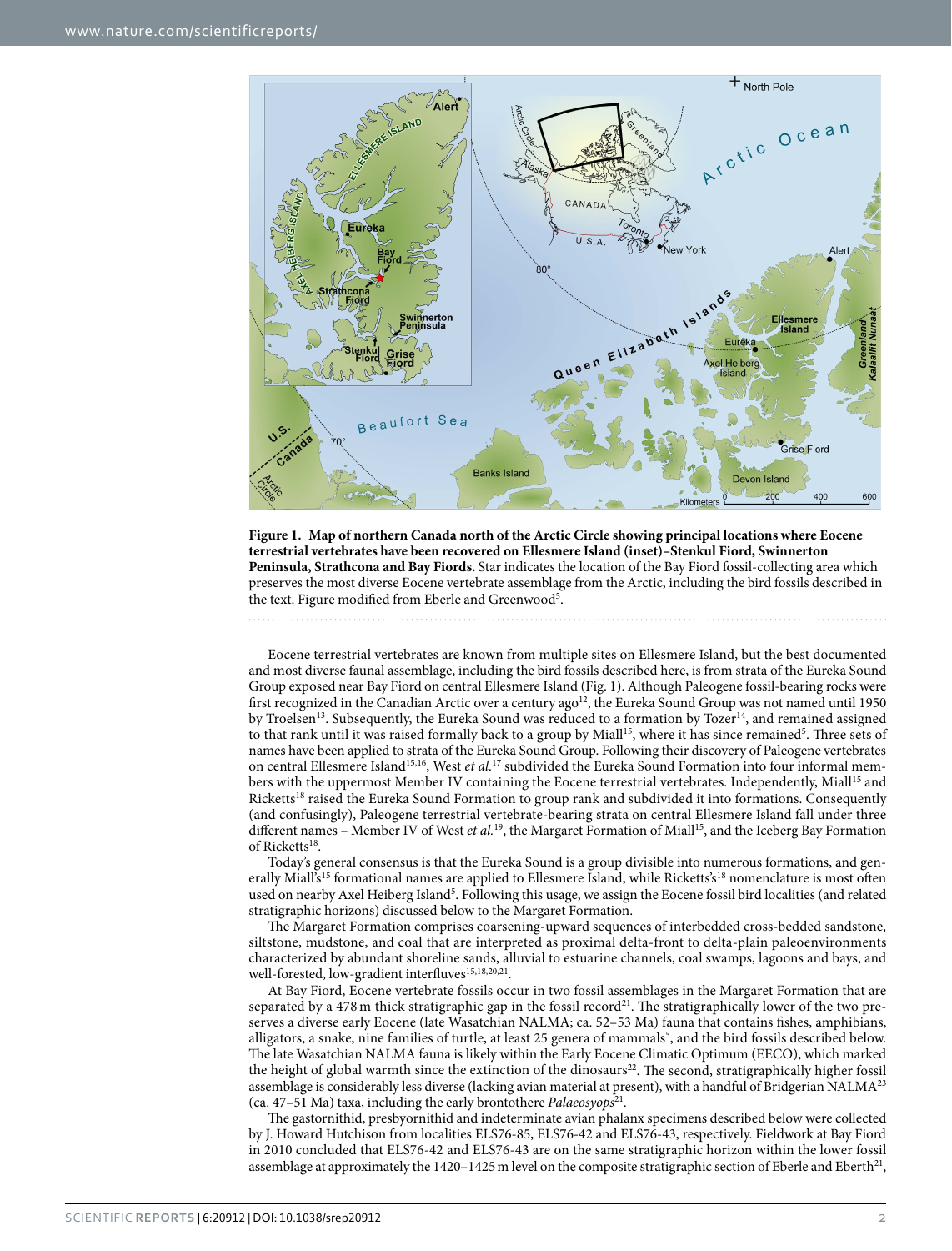

**Figure 1. Map of northern Canada north of the Arctic Circle showing principal locations where Eocene terrestrial vertebrates have been recovered on Ellesmere Island (inset)–Stenkul Fiord, Swinnerton Peninsula, Strathcona and Bay Fiords.** Star indicates the location of the Bay Fiord fossil-collecting area which preserves the most diverse Eocene vertebrate assemblage from the Arctic, including the bird fossils described in the text. Figure modified from Eberle and Greenwood<sup>5</sup>.

Eocene terrestrial vertebrates are known from multiple sites on Ellesmere Island, but the best documented and most diverse faunal assemblage, including the bird fossils described here, is from strata of the Eureka Sound Group exposed near Bay Fiord on central Ellesmere Island (Fig. 1). Although Paleogene fossil-bearing rocks were first recognized in the Canadian Arctic over a century ago<sup>12</sup>, the Eureka Sound Group was not named until 1950 by Troelsen<sup>13</sup>. Subsequently, the Eureka Sound was reduced to a formation by Tozer<sup>14</sup>, and remained assigned to that rank until it was raised formally back to a group by Miall<sup>15</sup>, where it has since remained<sup>5</sup>. Three sets of names have been applied to strata of the Eureka Sound Group. Following their discovery of Paleogene vertebrates on central Ellesmere Island15,16, West *et al.*17 subdivided the Eureka Sound Formation into four informal members with the uppermost Member IV containing the Eocene terrestrial vertebrates. Independently, Miall<sup>15</sup> and Ricketts<sup>18</sup> raised the Eureka Sound Formation to group rank and subdivided it into formations. Consequently (and confusingly), Paleogene terrestrial vertebrate-bearing strata on central Ellesmere Island fall under three different names – Member IV of West *et al.*<sup>19</sup>, the Margaret Formation of Miall<sup>15</sup>, and the Iceberg Bay Formation of Ricketts<sup>18</sup>.

Today's general consensus is that the Eureka Sound is a group divisible into numerous formations, and generally Miall's<sup>15</sup> formational names are applied to Ellesmere Island, while Ricketts's<sup>18</sup> nomenclature is most often used on nearby Axel Heiberg Island<sup>5</sup>. Following this usage, we assign the Eocene fossil bird localities (and related stratigraphic horizons) discussed below to the Margaret Formation.

The Margaret Formation comprises coarsening-upward sequences of interbedded cross-bedded sandstone, siltstone, mudstone, and coal that are interpreted as proximal delta-front to delta-plain paleoenvironments characterized by abundant shoreline sands, alluvial to estuarine channels, coal swamps, lagoons and bays, and well-forested, low-gradient interfluves<sup>15,18,20,21</sup>.

At Bay Fiord, Eocene vertebrate fossils occur in two fossil assemblages in the Margaret Formation that are separated by a 478 m thick stratigraphic gap in the fossil record<sup>21</sup>. The stratigraphically lower of the two preserves a diverse early Eocene (late Wasatchian NALMA; ca. 52–53 Ma) fauna that contains fishes, amphibians, alligators, a snake, nine families of turtle, at least 25 genera of mammals<sup>5</sup>, and the bird fossils described below. The late Wasatchian NALMA fauna is likely within the Early Eocene Climatic Optimum (EECO), which marked the height of global warmth since the extinction of the dinosaurs<sup>22</sup>. The second, stratigraphically higher fossil assemblage is considerably less diverse (lacking avian material at present), with a handful of Bridgerian NALMA<sup>23</sup> (ca. 47–51 Ma) taxa, including the early brontothere *Palaeosyops*21.

The gastornithid, presbyornithid and indeterminate avian phalanx specimens described below were collected by J. Howard Hutchison from localities ELS76-85, ELS76-42 and ELS76-43, respectively. Fieldwork at Bay Fiord in 2010 concluded that ELS76-42 and ELS76-43 are on the same stratigraphic horizon within the lower fossil assemblage at approximately the  $1420-1425$  m level on the composite stratigraphic section of Eberle and Eberth<sup>21</sup>,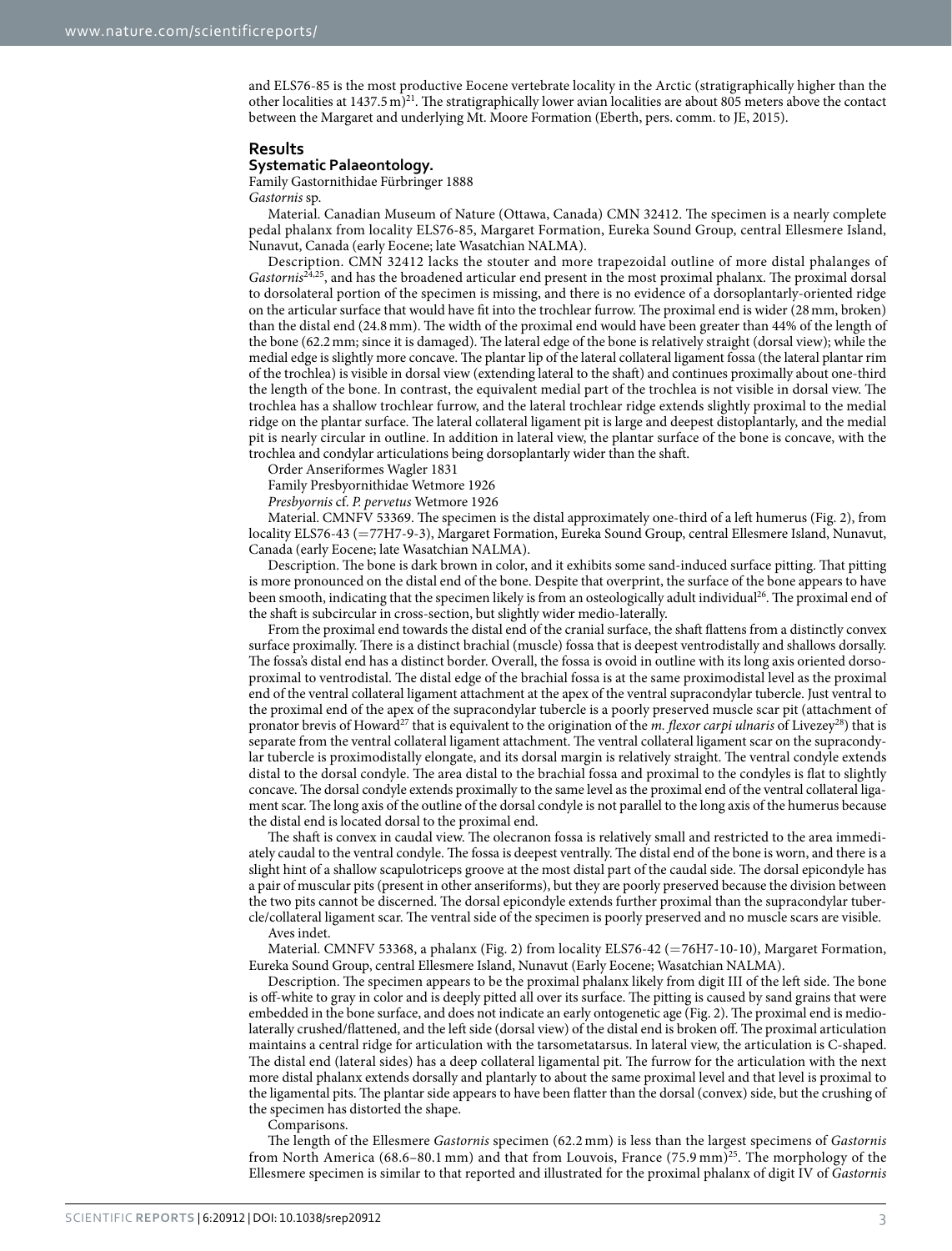and ELS76-85 is the most productive Eocene vertebrate locality in the Arctic (stratigraphically higher than the other localities at  $1437.5 \text{ m}$ <sup>21</sup>. The stratigraphically lower avian localities are about 805 meters above the contact between the Margaret and underlying Mt. Moore Formation (Eberth, pers. comm. to JE, 2015).

#### **Results**

#### **Systematic Palaeontology.**

Family Gastornithidae Fürbringer 1888 *Gastornis* sp.

Material. Canadian Museum of Nature (Ottawa, Canada) CMN 32412. The specimen is a nearly complete pedal phalanx from locality ELS76-85, Margaret Formation, Eureka Sound Group, central Ellesmere Island, Nunavut, Canada (early Eocene; late Wasatchian NALMA).

Description. CMN 32412 lacks the stouter and more trapezoidal outline of more distal phalanges of *Gastornis*24,25, and has the broadened articular end present in the most proximal phalanx. The proximal dorsal to dorsolateral portion of the specimen is missing, and there is no evidence of a dorsoplantarly-oriented ridge on the articular surface that would have fit into the trochlear furrow. The proximal end is wider (28mm, broken) than the distal end (24.8mm). The width of the proximal end would have been greater than 44% of the length of the bone (62.2mm; since it is damaged). The lateral edge of the bone is relatively straight (dorsal view); while the medial edge is slightly more concave. The plantar lip of the lateral collateral ligament fossa (the lateral plantar rim of the trochlea) is visible in dorsal view (extending lateral to the shaft) and continues proximally about one-third the length of the bone. In contrast, the equivalent medial part of the trochlea is not visible in dorsal view. The trochlea has a shallow trochlear furrow, and the lateral trochlear ridge extends slightly proximal to the medial ridge on the plantar surface. The lateral collateral ligament pit is large and deepest distoplantarly, and the medial pit is nearly circular in outline. In addition in lateral view, the plantar surface of the bone is concave, with the trochlea and condylar articulations being dorsoplantarly wider than the shaft.

Order Anseriformes Wagler 1831

Family Presbyornithidae Wetmore 1926

*Presbyornis* cf. *P. pervetus* Wetmore 1926

Material. CMNFV 53369. The specimen is the distal approximately one-third of a left humerus (Fig. 2), from locality ELS76-43 (=77H7-9-3), Margaret Formation, Eureka Sound Group, central Ellesmere Island, Nunavut, Canada (early Eocene; late Wasatchian NALMA).

Description. The bone is dark brown in color, and it exhibits some sand-induced surface pitting. That pitting is more pronounced on the distal end of the bone. Despite that overprint, the surface of the bone appears to have been smooth, indicating that the specimen likely is from an osteologically adult individual<sup>26</sup>. The proximal end of the shaft is subcircular in cross-section, but slightly wider medio-laterally.

From the proximal end towards the distal end of the cranial surface, the shaft flattens from a distinctly convex surface proximally. There is a distinct brachial (muscle) fossa that is deepest ventrodistally and shallows dorsally. The fossa's distal end has a distinct border. Overall, the fossa is ovoid in outline with its long axis oriented dorsoproximal to ventrodistal. The distal edge of the brachial fossa is at the same proximodistal level as the proximal end of the ventral collateral ligament attachment at the apex of the ventral supracondylar tubercle. Just ventral to the proximal end of the apex of the supracondylar tubercle is a poorly preserved muscle scar pit (attachment of pronator brevis of Howard27 that is equivalent to the origination of the *m. flexor carpi ulnaris* of Livezey28) that is separate from the ventral collateral ligament attachment. The ventral collateral ligament scar on the supracondylar tubercle is proximodistally elongate, and its dorsal margin is relatively straight. The ventral condyle extends distal to the dorsal condyle. The area distal to the brachial fossa and proximal to the condyles is flat to slightly concave. The dorsal condyle extends proximally to the same level as the proximal end of the ventral collateral ligament scar. The long axis of the outline of the dorsal condyle is not parallel to the long axis of the humerus because the distal end is located dorsal to the proximal end.

The shaft is convex in caudal view. The olecranon fossa is relatively small and restricted to the area immediately caudal to the ventral condyle. The fossa is deepest ventrally. The distal end of the bone is worn, and there is a slight hint of a shallow scapulotriceps groove at the most distal part of the caudal side. The dorsal epicondyle has a pair of muscular pits (present in other anseriforms), but they are poorly preserved because the division between the two pits cannot be discerned. The dorsal epicondyle extends further proximal than the supracondylar tubercle/collateral ligament scar. The ventral side of the specimen is poorly preserved and no muscle scars are visible.

Aves indet.

Material. CMNFV 53368, a phalanx (Fig. 2) from locality ELS76-42 (=76H7-10-10), Margaret Formation, Eureka Sound Group, central Ellesmere Island, Nunavut (Early Eocene; Wasatchian NALMA).

Description. The specimen appears to be the proximal phalanx likely from digit III of the left side. The bone is off-white to gray in color and is deeply pitted all over its surface. The pitting is caused by sand grains that were embedded in the bone surface, and does not indicate an early ontogenetic age (Fig. 2). The proximal end is mediolaterally crushed/flattened, and the left side (dorsal view) of the distal end is broken off. The proximal articulation maintains a central ridge for articulation with the tarsometatarsus. In lateral view, the articulation is C-shaped. The distal end (lateral sides) has a deep collateral ligamental pit. The furrow for the articulation with the next more distal phalanx extends dorsally and plantarly to about the same proximal level and that level is proximal to the ligamental pits. The plantar side appears to have been flatter than the dorsal (convex) side, but the crushing of the specimen has distorted the shape.

Comparisons.

The length of the Ellesmere *Gastornis* specimen (62.2 mm) is less than the largest specimens of *Gastornis* from North America (68.6–80.1 mm) and that from Louvois, France (75.9 mm)<sup>25</sup>. The morphology of the Ellesmere specimen is similar to that reported and illustrated for the proximal phalanx of digit IV of *Gastornis*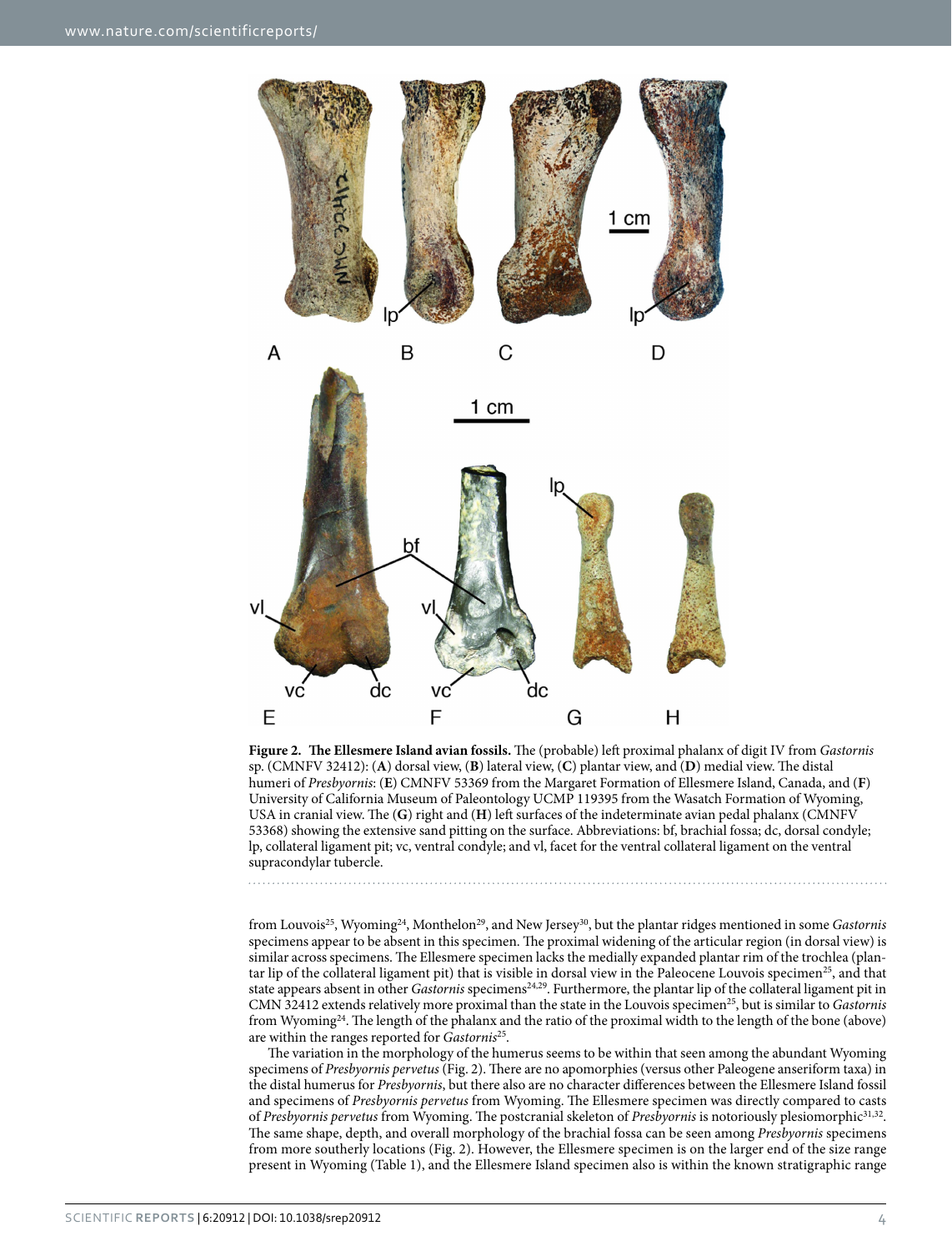

**Figure 2. The Ellesmere Island avian fossils.** The (probable) left proximal phalanx of digit IV from *Gastornis* sp. (CMNFV 32412): (**A**) dorsal view, (**B**) lateral view, (**C**) plantar view, and (**D**) medial view. The distal humeri of *Presbyornis*: (**E**) CMNFV 53369 from the Margaret Formation of Ellesmere Island, Canada, and (**F**) University of California Museum of Paleontology UCMP 119395 from the Wasatch Formation of Wyoming, USA in cranial view. The (**G**) right and (**H**) left surfaces of the indeterminate avian pedal phalanx (CMNFV 53368) showing the extensive sand pitting on the surface. Abbreviations: bf, brachial fossa; dc, dorsal condyle; lp, collateral ligament pit; vc, ventral condyle; and vl, facet for the ventral collateral ligament on the ventral supracondylar tubercle.

from Louvois25, Wyoming24, Monthelon29, and New Jersey30, but the plantar ridges mentioned in some *Gastornis* specimens appear to be absent in this specimen. The proximal widening of the articular region (in dorsal view) is similar across specimens. The Ellesmere specimen lacks the medially expanded plantar rim of the trochlea (plantar lip of the collateral ligament pit) that is visible in dorsal view in the Paleocene Louvois specimen<sup>25</sup>, and that state appears absent in other *Gastornis* specimens24,29. Furthermore, the plantar lip of the collateral ligament pit in CMN 32412 extends relatively more proximal than the state in the Louvois specimen<sup>25</sup>, but is similar to *Gastornis* from Wyoming24. The length of the phalanx and the ratio of the proximal width to the length of the bone (above) are within the ranges reported for *Gastornis*25.

The variation in the morphology of the humerus seems to be within that seen among the abundant Wyoming specimens of *Presbyornis pervetus* (Fig. 2). There are no apomorphies (versus other Paleogene anseriform taxa) in the distal humerus for *Presbyornis*, but there also are no character differences between the Ellesmere Island fossil and specimens of *Presbyornis pervetus* from Wyoming. The Ellesmere specimen was directly compared to casts of *Presbyornis pervetus* from Wyoming. The postcranial skeleton of *Presbyornis* is notoriously plesiomorphic31,32. The same shape, depth, and overall morphology of the brachial fossa can be seen among *Presbyornis* specimens from more southerly locations (Fig. 2). However, the Ellesmere specimen is on the larger end of the size range present in Wyoming (Table 1), and the Ellesmere Island specimen also is within the known stratigraphic range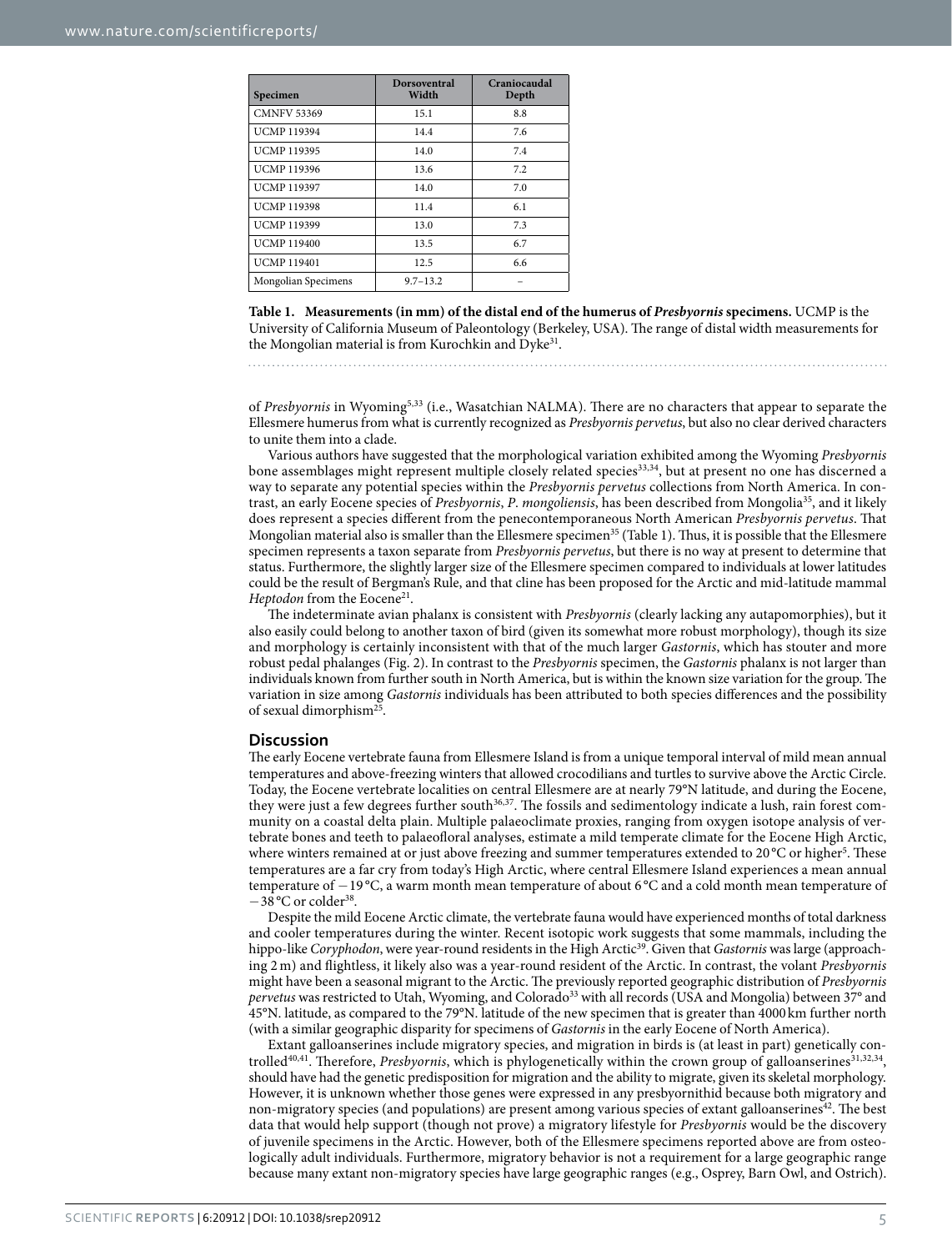| Specimen            | <b>Dorsoventral</b><br>Width | Craniocaudal<br>Depth |
|---------------------|------------------------------|-----------------------|
| <b>CMNFV 53369</b>  | 15.1                         | 8.8                   |
| <b>UCMP 119394</b>  | 14.4                         | 7.6                   |
| <b>UCMP 119395</b>  | 14.0                         | 7.4                   |
| <b>UCMP 119396</b>  | 13.6                         | 7.2                   |
| <b>UCMP 119397</b>  | 14.0                         | 7.0                   |
| <b>UCMP119398</b>   | 11.4                         | 6.1                   |
| <b>UCMP 119399</b>  | 13.0                         | 7.3                   |
| <b>UCMP119400</b>   | 13.5                         | 6.7                   |
| <b>UCMP 119401</b>  | 12.5                         | 6.6                   |
| Mongolian Specimens | $9.7 - 13.2$                 |                       |

**Table 1. Measurements (in mm) of the distal end of the humerus of** *Presbyornis* **specimens.** UCMP is the University of California Museum of Paleontology (Berkeley, USA). The range of distal width measurements for the Mongolian material is from Kurochkin and Dyke<sup>31</sup>.

of *Presbyornis* in Wyoming5,33 (i.e., Wasatchian NALMA). There are no characters that appear to separate the Ellesmere humerus from what is currently recognized as *Presbyornis pervetus*, but also no clear derived characters to unite them into a clade.

Various authors have suggested that the morphological variation exhibited among the Wyoming *Presbyornis* bone assemblages might represent multiple closely related species33,34, but at present no one has discerned a way to separate any potential species within the *Presbyornis pervetus* collections from North America. In contrast, an early Eocene species of *Presbyornis*, *P*. *mongoliensis*, has been described from Mongolia35, and it likely does represent a species different from the penecontemporaneous North American *Presbyornis pervetus*. That Mongolian material also is smaller than the Ellesmere specimen<sup>35</sup> (Table 1). Thus, it is possible that the Ellesmere specimen represents a taxon separate from *Presbyornis pervetus*, but there is no way at present to determine that status. Furthermore, the slightly larger size of the Ellesmere specimen compared to individuals at lower latitudes could be the result of Bergman's Rule, and that cline has been proposed for the Arctic and mid-latitude mammal *Heptodon* from the Eocene<sup>21</sup>.

The indeterminate avian phalanx is consistent with *Presbyornis* (clearly lacking any autapomorphies), but it also easily could belong to another taxon of bird (given its somewhat more robust morphology), though its size and morphology is certainly inconsistent with that of the much larger *Gastornis*, which has stouter and more robust pedal phalanges (Fig. 2). In contrast to the *Presbyornis* specimen, the *Gastornis* phalanx is not larger than individuals known from further south in North America, but is within the known size variation for the group. The variation in size among *Gastornis* individuals has been attributed to both species differences and the possibility of sexual dimorphism<sup>25</sup>.

#### **Discussion**

The early Eocene vertebrate fauna from Ellesmere Island is from a unique temporal interval of mild mean annual temperatures and above-freezing winters that allowed crocodilians and turtles to survive above the Arctic Circle. Today, the Eocene vertebrate localities on central Ellesmere are at nearly 79°N latitude, and during the Eocene, they were just a few degrees further south<sup>36,37</sup>. The fossils and sedimentology indicate a lush, rain forest community on a coastal delta plain. Multiple palaeoclimate proxies, ranging from oxygen isotope analysis of vertebrate bones and teeth to palaeofloral analyses, estimate a mild temperate climate for the Eocene High Arctic, where winters remained at or just above freezing and summer temperatures extended to 20°C or higher<sup>5</sup>. These temperatures are a far cry from today's High Arctic, where central Ellesmere Island experiences a mean annual temperature of −19 °C, a warm month mean temperature of about 6 °C and a cold month mean temperature of  $-38$  °C or colder<sup>38</sup>.

Despite the mild Eocene Arctic climate, the vertebrate fauna would have experienced months of total darkness and cooler temperatures during the winter. Recent isotopic work suggests that some mammals, including the hippo-like *Coryphodon*, were year-round residents in the High Arctic<sup>39</sup>. Given that *Gastornis* was large (approaching 2 m) and flightless, it likely also was a year-round resident of the Arctic. In contrast, the volant *Presbyornis* might have been a seasonal migrant to the Arctic. The previously reported geographic distribution of *Presbyornis pervetus* was restricted to Utah, Wyoming, and Colorado<sup>33</sup> with all records (USA and Mongolia) between 37° and 45°N. latitude, as compared to the 79°N. latitude of the new specimen that is greater than 4000km further north (with a similar geographic disparity for specimens of *Gastornis* in the early Eocene of North America).

Extant galloanserines include migratory species, and migration in birds is (at least in part) genetically controlled<sup>40,41</sup>. Therefore, *Presbyornis*, which is phylogenetically within the crown group of galloanserines<sup>31,32,34</sup>, should have had the genetic predisposition for migration and the ability to migrate, given its skeletal morphology. However, it is unknown whether those genes were expressed in any presbyornithid because both migratory and non-migratory species (and populations) are present among various species of extant galloanserines<sup>42</sup>. The best data that would help support (though not prove) a migratory lifestyle for *Presbyornis* would be the discovery of juvenile specimens in the Arctic. However, both of the Ellesmere specimens reported above are from osteologically adult individuals. Furthermore, migratory behavior is not a requirement for a large geographic range because many extant non-migratory species have large geographic ranges (e.g., Osprey, Barn Owl, and Ostrich).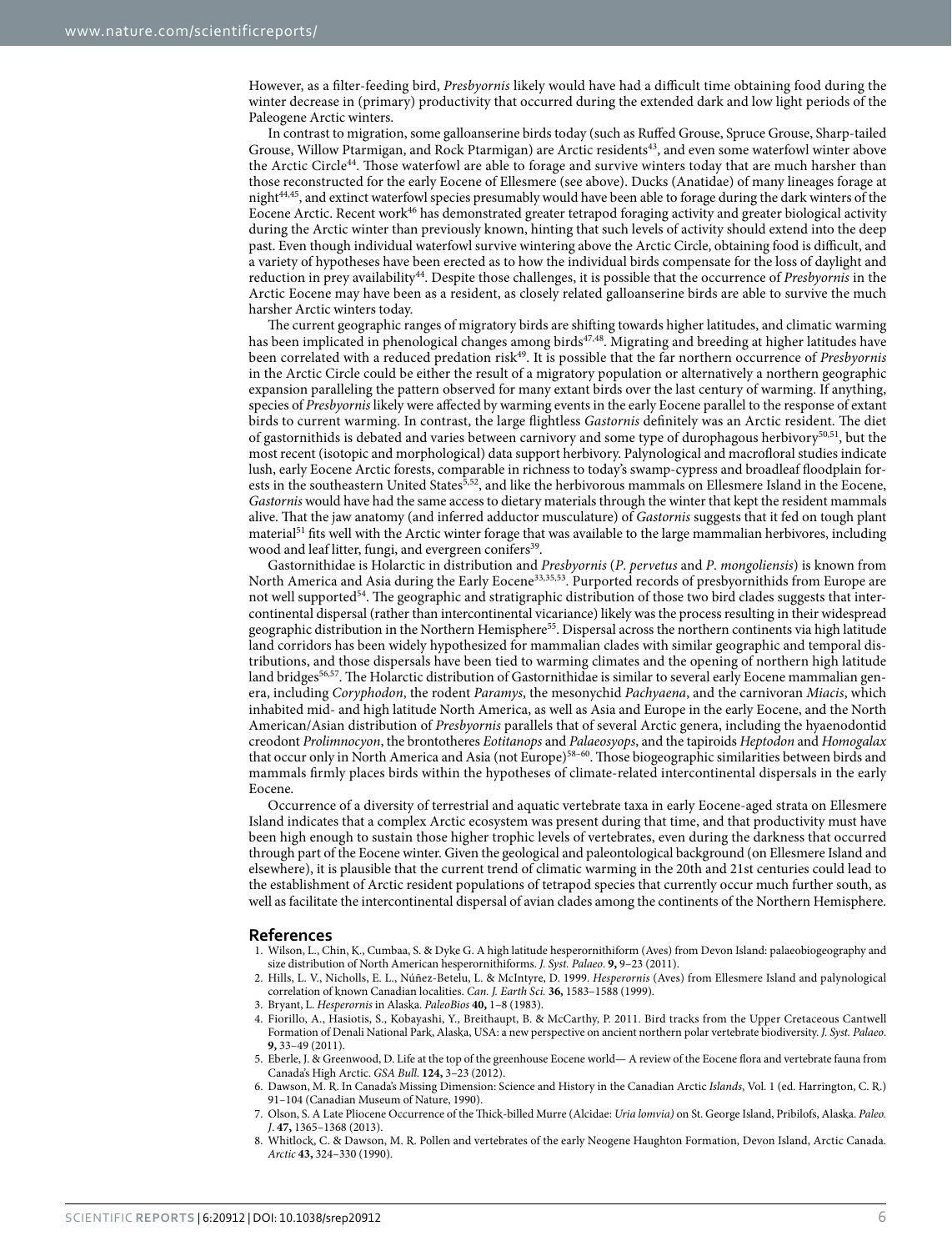However, as a filter-feeding bird, *Presbyornis* likely would have had a difficult time obtaining food during the winter decrease in (primary) productivity that occurred during the extended dark and low light periods of the Paleogene Arctic winters.

In contrast to migration, some galloanserine birds today (such as Ruffed Grouse, Spruce Grouse, Sharp-tailed Grouse, Willow Ptarmigan, and Rock Ptarmigan) are Arctic residents<sup>43</sup>, and even some waterfowl winter above the Arctic Circle<sup>44</sup>. Those waterfowl are able to forage and survive winters today that are much harsher than those reconstructed for the early Eocene of Ellesmere (see above). Ducks (Anatidae) of many lineages forage at night44,45, and extinct waterfowl species presumably would have been able to forage during the dark winters of the Eocene Arctic. Recent work<sup>46</sup> has demonstrated greater tetrapod foraging activity and greater biological activity during the Arctic winter than previously known, hinting that such levels of activity should extend into the deep past. Even though individual waterfowl survive wintering above the Arctic Circle, obtaining food is difficult, and a variety of hypotheses have been erected as to how the individual birds compensate for the loss of daylight and reduction in prey availability44. Despite those challenges, it is possible that the occurrence of *Presbyornis* in the Arctic Eocene may have been as a resident, as closely related galloanserine birds are able to survive the much harsher Arctic winters today.

The current geographic ranges of migratory birds are shifting towards higher latitudes, and climatic warming has been implicated in phenological changes among birds<sup>47,48</sup>. Migrating and breeding at higher latitudes have been correlated with a reduced predation risk<sup>49</sup>. It is possible that the far northern occurrence of *Presbyornis* in the Arctic Circle could be either the result of a migratory population or alternatively a northern geographic expansion paralleling the pattern observed for many extant birds over the last century of warming. If anything, species of *Presbyornis* likely were affected by warming events in the early Eocene parallel to the response of extant birds to current warming. In contrast, the large flightless *Gastornis* definitely was an Arctic resident. The diet of gastornithids is debated and varies between carnivory and some type of durophagous herbivory<sup>50,51</sup>, but the most recent (isotopic and morphological) data support herbivory. Palynological and macrofloral studies indicate lush, early Eocene Arctic forests, comparable in richness to today's swamp-cypress and broadleaf floodplain forests in the southeastern United States<sup>5,52</sup>, and like the herbivorous mammals on Ellesmere Island in the Eocene, *Gastornis* would have had the same access to dietary materials through the winter that kept the resident mammals alive. That the jaw anatomy (and inferred adductor musculature) of *Gastornis* suggests that it fed on tough plant material<sup>51</sup> fits well with the Arctic winter forage that was available to the large mammalian herbivores, including wood and leaf litter, fungi, and evergreen conifers<sup>39</sup>.

Gastornithidae is Holarctic in distribution and *Presbyornis* (*P*. *pervetus* and *P*. *mongoliensis*) is known from North America and Asia during the Early Eocene33,35,53. Purported records of presbyornithids from Europe are not well supported<sup>54</sup>. The geographic and stratigraphic distribution of those two bird clades suggests that intercontinental dispersal (rather than intercontinental vicariance) likely was the process resulting in their widespread geographic distribution in the Northern Hemisphere55. Dispersal across the northern continents via high latitude land corridors has been widely hypothesized for mammalian clades with similar geographic and temporal distributions, and those dispersals have been tied to warming climates and the opening of northern high latitude land bridges<sup>56,57</sup>. The Holarctic distribution of Gastornithidae is similar to several early Eocene mammalian genera, including *Coryphodon*, the rodent *Paramys*, the mesonychid *Pachyaena*, and the carnivoran *Miacis*, which inhabited mid- and high latitude North America, as well as Asia and Europe in the early Eocene, and the North American/Asian distribution of *Presbyornis* parallels that of several Arctic genera, including the hyaenodontid creodont *Prolimnocyon*, the brontotheres *Eotitanops* and *Palaeosyops*, and the tapiroids *Heptodon* and *Homogalax* that occur only in North America and Asia (not Europe)58–60. Those biogeographic similarities between birds and mammals firmly places birds within the hypotheses of climate-related intercontinental dispersals in the early Eocene.

Occurrence of a diversity of terrestrial and aquatic vertebrate taxa in early Eocene-aged strata on Ellesmere Island indicates that a complex Arctic ecosystem was present during that time, and that productivity must have been high enough to sustain those higher trophic levels of vertebrates, even during the darkness that occurred through part of the Eocene winter. Given the geological and paleontological background (on Ellesmere Island and elsewhere), it is plausible that the current trend of climatic warming in the 20th and 21st centuries could lead to the establishment of Arctic resident populations of tetrapod species that currently occur much further south, as well as facilitate the intercontinental dispersal of avian clades among the continents of the Northern Hemisphere.

#### **References**

- 1. Wilson, L., Chin, K., Cumbaa, S. & Dyke G. A high latitude hesperornithiform (Aves) from Devon Island: palaeobiogeography and size distribution of North American hesperornithiforms. *J. Syst. Palaeo*. **9,** 9–23 (2011).
- 2. Hills, L. V., Nicholls, E. L., Núñez-Betelu, L. & McIntyre, D. 1999. *Hesperornis* (Aves) from Ellesmere Island and palynological correlation of known Canadian localities. *Can. J. Earth Sci.* **36,** 1583–1588 (1999).
- 3. Bryant, L. *Hesperornis* in Alaska. *PaleoBios* **40,** 1–8 (1983).
- 4. Fiorillo, A., Hasiotis, S., Kobayashi, Y., Breithaupt, B. & McCarthy, P. 2011. Bird tracks from the Upper Cretaceous Cantwell Formation of Denali National Park, Alaska, USA: a new perspective on ancient northern polar vertebrate biodiversity. *J. Syst. Palaeo*. **9,** 33–49 (2011).
- 5. Eberle, J. & Greenwood, D. Life at the top of the greenhouse Eocene world— A review of the Eocene flora and vertebrate fauna from Canada's High Arctic. *GSA Bull*. **124,** 3–23 (2012).
- 6. Dawson, M. R. In Canada's Missing Dimension: Science and History in the Canadian Arctic *Islands*, Vol. 1 (ed. Harrington, C. R.) 91-104 (Canadian Museum of Nature, 1990).
- 7. Olson, S. A Late Pliocene Occurrence of the Thick-billed Murre (Alcidae: *Uria lomvia)* on St. George Island, Pribilofs, Alaska. *Paleo. J*. **47,** 1365–1368 (2013).
- 8. Whitlock, C. & Dawson, M. R. Pollen and vertebrates of the early Neogene Haughton Formation, Devon Island, Arctic Canada. *Arctic* **43,** 324–330 (1990).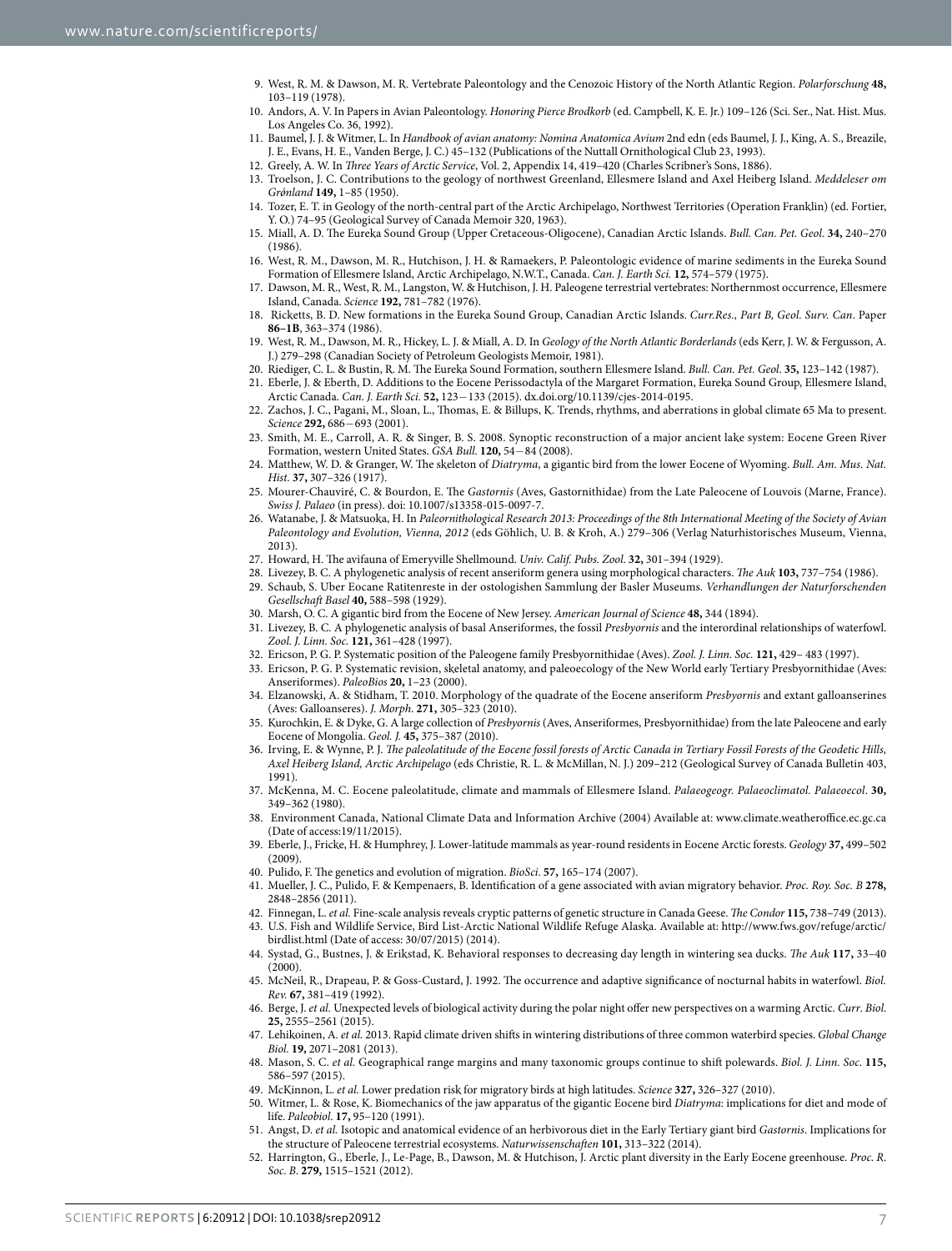- 9. West, R. M. & Dawson, M. R. Vertebrate Paleontology and the Cenozoic History of the North Atlantic Region. *Polarforschung* **48,** 103–119 (1978).
- 10. Andors, A. V. In Papers in Avian Paleontology. *Honoring Pierce Brodkorb* (ed. Campbell, K. E. Jr.) 109–126 (Sci. Ser., Nat. Hist. Mus. Los Angeles Co. 36, 1992).
- 11. Baumel, J. J. & Witmer, L. In *Handbook of avian anatomy: Nomina Anatomica Avium* 2nd edn (eds Baumel, J. J., King, A. S., Breazile, J. E., Evans, H. E., Vanden Berge, J. C.) 45–132 (Publications of the Nuttall Ornithological Club 23, 1993).
- 12. Greely, A. W. In *Three Years of Arctic Service*, Vol. 2, Appendix 14, 419–420 (Charles Scribner's Sons, 1886).
- 13. Troelson, J. C. Contributions to the geology of northwest Greenland, Ellesmere Island and Axel Heiberg Island. *Meddeleser om Grǿnland* **149,** 1–85 (1950).
- 14. Tozer, E. T. in Geology of the north-central part of the Arctic Archipelago, Northwest Territories (Operation Franklin) (ed. Fortier, Y. O.) 74–95 (Geological Survey of Canada Memoir 320, 1963).
- 15. Miall, A. D. The Eureka Sound Group (Upper Cretaceous-Oligocene), Canadian Arctic Islands. *Bull. Can. Pet. Geol*. **34,** 240–270 (1986).
- 16. West, R. M., Dawson, M. R., Hutchison, J. H. & Ramaekers, P. Paleontologic evidence of marine sediments in the Eureka Sound Formation of Ellesmere Island, Arctic Archipelago, N.W.T., Canada. *Can. J. Earth Sci.* **12,** 574–579 (1975).
- 17. Dawson, M. R., West, R. M., Langston, W. & Hutchison, J. H. Paleogene terrestrial vertebrates: Northernmost occurrence, Ellesmere Island, Canada. *Science* **192,** 781–782 (1976).
- 18. Ricketts, B. D. New formations in the Eureka Sound Group, Canadian Arctic Islands. *Curr.Res., Part B, Geol. Surv. Can*. Paper **86–1B**, 363–374 (1986).
- 19. West, R. M., Dawson, M. R., Hickey, L. J. & Miall, A. D. In *Geology of the North Atlantic Borderlands* (eds Kerr, J. W. & Fergusson, A. J.) 279–298 (Canadian Society of Petroleum Geologists Memoir, 1981).
- 20. Riediger, C. L. & Bustin, R. M. The Eureka Sound Formation, southern Ellesmere Island. *Bull. Can. Pet. Geol*. **35,** 123–142 (1987).
- 21. Eberle, J. & Eberth, D. Additions to the Eocene Perissodactyla of the Margaret Formation, Eureka Sound Group, Ellesmere Island, Arctic Canada. *Can. J. Earth Sci.* **52,** 123−133 (2015). dx.doi.org/10.1139/cjes-2014-0195.
- 22. Zachos, J. C., Pagani, M., Sloan, L., Thomas, E. & Billups, K. Trends, rhythms, and aberrations in global climate 65 Ma to present. *Science* **292,** 686−693 (2001).
- 23. Smith, M. E., Carroll, A. R. & Singer, B. S. 2008. Synoptic reconstruction of a major ancient lake system: Eocene Green River Formation, western United States. *GSA Bull*. **120,** 54−84 (2008).
- 24. Matthew, W. D. & Granger, W. The skeleton of *Diatryma*, a gigantic bird from the lower Eocene of Wyoming. *Bull. Am. Mus. Nat. Hist.* **37,** 307–326 (1917).
- 25. Mourer-Chauviré, C. & Bourdon, E. The *Gastornis* (Aves, Gastornithidae) from the Late Paleocene of Louvois (Marne, France). *Swiss J. Palaeo* (in press). doi: 10.1007/s13358-015-0097-7.
- 26. Watanabe, J. & Matsuoka, H. In *Paleornithological Research 2013: Proceedings of the 8th International Meeting of the Society of Avian Paleontology and Evolution, Vienna, 2012* (eds Göhlich, U. B. & Kroh, A.) 279–306 (Verlag Naturhistorisches Museum, Vienna, 2013).
- 27. Howard, H. The avifauna of Emeryville Shellmound. *Univ. Calif. Pubs. Zool*. **32,** 301–394 (1929).
- 28. Livezey, B. C. A phylogenetic analysis of recent anseriform genera using morphological characters. *The Auk* **103,** 737–754 (1986).
- 29. Schaub, S. Uber Eocane Ratitenreste in der ostologishen Sammlung der Basler Museums. *Verhandlungen der Naturforschenden Gesellschaft Basel* **40,** 588–598 (1929).
- 30. Marsh, O. C. A gigantic bird from the Eocene of New Jersey. *American Journal of Science* **48,** 344 (1894).
- 31. Livezey, B. C. A phylogenetic analysis of basal Anseriformes, the fossil *Presbyornis* and the interordinal relationships of waterfowl. *Zool. J. Linn. Soc.* **121,** 361–428 (1997).
- 32. Ericson, P. G. P. Systematic position of the Paleogene family Presbyornithidae (Aves). *Zool. J. Linn. Soc.* **121,** 429– 483 (1997).
- 33. Ericson, P. G. P. Systematic revision, skeletal anatomy, and paleoecology of the New World early Tertiary Presbyornithidae (Aves: Anseriformes). *PaleoBios* **20,** 1–23 (2000).
- 34. Elzanowski, A. & Stidham, T. 2010. Morphology of the quadrate of the Eocene anseriform *Presbyornis* and extant galloanserines (Aves: Galloanseres). *J. Morph*. **271,** 305–323 (2010).
- 35. Kurochkin, E. & Dyke, G. A large collection of *Presbyornis* (Aves, Anseriformes, Presbyornithidae) from the late Paleocene and early Eocene of Mongolia. *Geol. J.* **45,** 375–387 (2010).
- 36. Irving, E. & Wynne, P. J. *The paleolatitude of the Eocene fossil forests of Arctic Canada in Tertiary Fossil Forests of the Geodetic Hills, Axel Heiberg Island, Arctic Archipelago* (eds Christie, R. L. & McMillan, N. J.) 209–212 (Geological Survey of Canada Bulletin 403, 1991).
- 37. McKenna, M. C. Eocene paleolatitude, climate and mammals of Ellesmere Island. *Palaeogeogr. Palaeoclimatol. Palaeoecol*. **30,** 349–362 (1980).
- 38. Environment Canada, National Climate Data and Information Archive (2004) Available at: [www.climate.weatheroffice.ec.gc.ca](http://www.climate.weatheroffice.ec.gc.ca)  (Date of access:19/11/2015).
- 39. Eberle, J., Fricke, H. & Humphrey, J. Lower-latitude mammals as year-round residents in Eocene Arctic forests. *Geology* **37,** 499–502  $(2009)$
- 40. Pulido, F. The genetics and evolution of migration. *BioSci*. **57,** 165–174 (2007).
- 41. Mueller, J. C., Pulido, F. & Kempenaers, B. Identification of a gene associated with avian migratory behavior. *Proc. Roy. Soc. B* **278,** 2848–2856 (2011).
- 42. Finnegan, L. *et al.* Fine-scale analysis reveals cryptic patterns of genetic structure in Canada Geese. *The Condor* **115,** 738–749 (2013).
- 43. U.S. Fish and Wildlife Service, Bird List-Arctic National Wildlife Refuge Alaska. Available at: [http://www.fws.gov/refuge/arctic/](http://www.fws.gov/refuge/arctic/birdlist.html) [birdlist.html](http://www.fws.gov/refuge/arctic/birdlist.html) (Date of access: 30/07/2015) (2014).
- 44. Systad, G., Bustnes, J. & Erikstad, K. Behavioral responses to decreasing day length in wintering sea ducks. *The Auk* **117,** 33–40  $(2000)$
- 45. McNeil, R., Drapeau, P. & Goss-Custard, J. 1992. The occurrence and adaptive significance of nocturnal habits in waterfowl. *Biol. Rev.* **67,** 381–419 (1992).
- 46. Berge, J. *et al.* Unexpected levels of biological activity during the polar night offer new perspectives on a warming Arctic. *Curr*. *Biol*. **25,** 2555–2561 (2015).
- 47. Lehikoinen, A. *et al.* 2013. Rapid climate driven shifts in wintering distributions of three common waterbird species. *Global Change Biol.* **19,** 2071–2081 (2013).
- 48. Mason, S. C. *et al.* Geographical range margins and many taxonomic groups continue to shift polewards. *Biol. J. Linn. Soc.* **115,** 586–597 (2015).
- 49. McKinnon, L. *et al.* Lower predation risk for migratory birds at high latitudes. *Science* **327,** 326–327 (2010).
- 50. Witmer, L. & Rose, K. Biomechanics of the jaw apparatus of the gigantic Eocene bird *Diatryma*: implications for diet and mode of life. *Paleobiol*. **17,** 95–120 (1991).
- 51. Angst, D. *et al.* Isotopic and anatomical evidence of an herbivorous diet in the Early Tertiary giant bird *Gastornis*. Implications for the structure of Paleocene terrestrial ecosystems. *Naturwissenschaften* **101,** 313–322 (2014).
- 52. Harrington, G., Eberle, J., Le-Page, B., Dawson, M. & Hutchison, J. Arctic plant diversity in the Early Eocene greenhouse. *Proc*. *R*. *Soc*. *B*. **279,** 1515–1521 (2012).